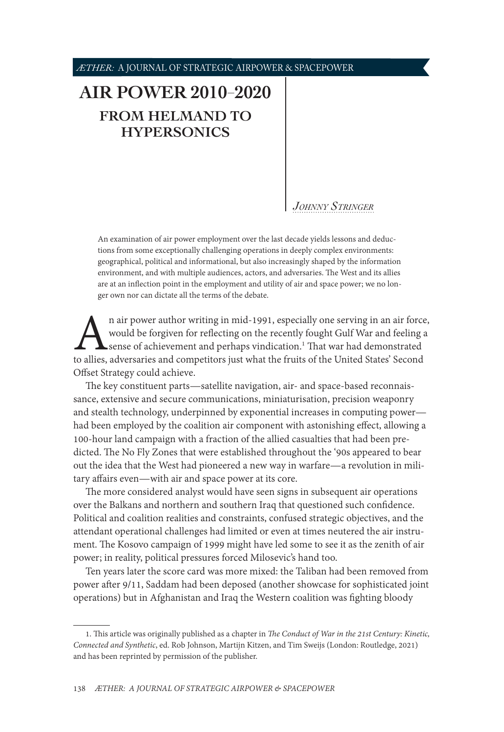# <span id="page-0-0"></span>**[AIR POWER 2010](#page-1-0)—2020 [FROM HELMAND TO](#page-1-0)  [HYPERSONICS](#page-1-0)**

### *[Johnny Stringer](#page-9-0)*

An examination of air power employment over the last decade yields lessons and deductions from some exceptionally challenging operations in deeply complex environments: geographical, political and informational, but also increasingly shaped by the information environment, and with multiple audiences, actors, and adversaries. The West and its allies are at an inflection point in the employment and utility of air and space power; we no longer own nor can dictate all the terms of the debate.

n air power author writing in mid-1991, especially one serving in an air force, would be forgiven for reflecting on the recently fought Gulf War and feeling a sense of achievement and perhaps vindication.<sup>1</sup> That war had d would be forgiven for reflecting on the recently fought Gulf War and feeling a sense of achievement and perhaps vindication.<sup>1</sup> That war had demonstrated to allies, adversaries and competitors just what the fruits of the United States' Second Offset Strategy could achieve.

The key constituent parts—satellite navigation, air- and space-based reconnaissance, extensive and secure communications, miniaturisation, precision weaponry and stealth technology, underpinned by exponential increases in computing power had been employed by the coalition air component with astonishing effect, allowing a 100-hour land campaign with a fraction of the allied casualties that had been predicted. The No Fly Zones that were established throughout the '90s appeared to bear out the idea that the West had pioneered a new way in warfare—a revolution in military affairs even—with air and space power at its core.

The more considered analyst would have seen signs in subsequent air operations over the Balkans and northern and southern Iraq that questioned such confidence. Political and coalition realities and constraints, confused strategic objectives, and the attendant operational challenges had limited or even at times neutered the air instrument. The Kosovo campaign of 1999 might have led some to see it as the zenith of air power; in reality, political pressures forced Milosevic's hand too.

Ten years later the score card was more mixed: the Taliban had been removed from power after 9/11, Saddam had been deposed (another showcase for sophisticated joint operations) but in Afghanistan and Iraq the Western coalition was fighting bloody

<sup>1.</sup> This article was originally published as a chapter in *The Conduct of War in the 21st Century: Kinetic, Connected and Synthetic*, ed. Rob Johnson, Martijn Kitzen, and Tim Sweijs (London: Routledge, 2021) and has been reprinted by permission of the publisher.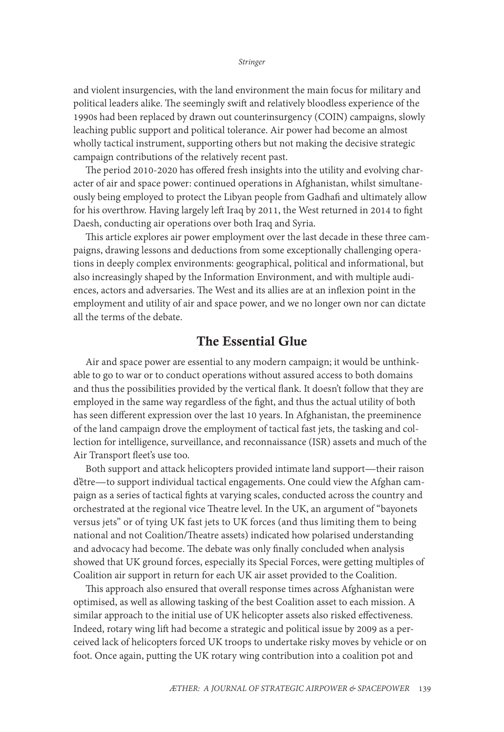<span id="page-1-0"></span>and violent insurgencies, with the land environment the main focus for military and political leaders alike. The seemingly swift and relatively bloodless experience of the 1990s had been replaced by drawn out counterinsurgency (COIN) campaigns, slowly leaching public support and political tolerance. Air power had become an almost wholly tactical instrument, supporting others but not making the decisive strategic campaign contributions of the relatively recent past.

The period 2010-2020 has offered fresh insights into the utility and evolving character of air and space power: continued operations in Afghanistan, whilst simultaneously being employed to protect the Libyan people from Gadhafi and ultimately allow for his overthrow. Having largely left Iraq by 2011, the West returned in 2014 to fight Daesh, conducting air operations over both Iraq and Syria.

This article explores air power employment over the last decade in these three campaigns, drawing lessons and deductions from some exceptionally challenging operations in deeply complex environments: geographical, political and informational, but also increasingly shaped by the Information Environment, and with multiple audiences, actors and adversaries. The West and its allies are at an inflexion point in the employment and utility of air and space power, and we no longer own nor can dictate all the terms of the debate.

### The Essential Glue

Air and space power are essential to any modern campaign; it would be unthinkable to go to war or to conduct operations without assured access to both domains and thus the possibilities provided by the vertical flank. It doesn't follow that they are employed in the same way regardless of the fight, and thus the actual utility of both has seen different expression over the last 10 years. In Afghanistan, the preeminence of the land campaign drove the employment of tactical fast jets, the tasking and collection for intelligence, surveillance, and reconnaissance (ISR) assets and much of the Air Transport fleet's use too.

Both support and attack helicopters provided intimate land support—their raison d'être—to support individual tactical engagements. One could view the Afghan campaign as a series of tactical fights at varying scales, conducted across the country and orchestrated at the regional vice Theatre level. In the UK, an argument of "bayonets versus jets" or of tying UK fast jets to UK forces (and thus limiting them to being national and not Coalition/Theatre assets) indicated how polarised understanding and advocacy had become. The debate was only finally concluded when analysis showed that UK ground forces, especially its Special Forces, were getting multiples of Coalition air support in return for each UK air asset provided to the Coalition.

This approach also ensured that overall response times across Afghanistan were optimised, as well as allowing tasking of the best Coalition asset to each mission. A similar approach to the initial use of UK helicopter assets also risked effectiveness. Indeed, rotary wing lift had become a strategic and political issue by 2009 as a perceived lack of helicopters forced UK troops to undertake risky moves by vehicle or on foot. Once again, putting the UK rotary wing contribution into a coalition pot and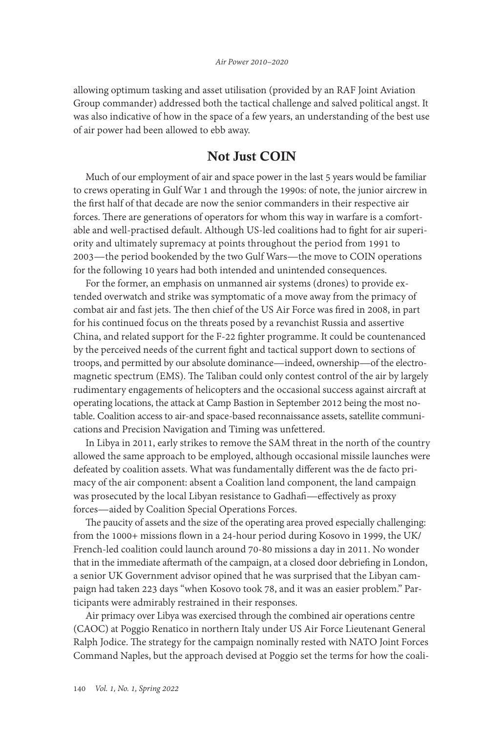allowing optimum tasking and asset utilisation (provided by an RAF Joint Aviation Group commander) addressed both the tactical challenge and salved political angst. It was also indicative of how in the space of a few years, an understanding of the best use of air power had been allowed to ebb away.

### Not Just COIN

Much of our employment of air and space power in the last 5 years would be familiar to crews operating in Gulf War 1 and through the 1990s: of note, the junior aircrew in the first half of that decade are now the senior commanders in their respective air forces. There are generations of operators for whom this way in warfare is a comfortable and well-practised default. Although US-led coalitions had to fight for air superiority and ultimately supremacy at points throughout the period from 1991 to 2003—the period bookended by the two Gulf Wars—the move to COIN operations for the following 10 years had both intended and unintended consequences.

For the former, an emphasis on unmanned air systems (drones) to provide extended overwatch and strike was symptomatic of a move away from the primacy of combat air and fast jets. The then chief of the US Air Force was fired in 2008, in part for his continued focus on the threats posed by a revanchist Russia and assertive China, and related support for the F-22 fighter programme. It could be countenanced by the perceived needs of the current fight and tactical support down to sections of troops, and permitted by our absolute dominance—indeed, ownership—of the electromagnetic spectrum (EMS). The Taliban could only contest control of the air by largely rudimentary engagements of helicopters and the occasional success against aircraft at operating locations, the attack at Camp Bastion in September 2012 being the most notable. Coalition access to air-and space-based reconnaissance assets, satellite communications and Precision Navigation and Timing was unfettered.

In Libya in 2011, early strikes to remove the SAM threat in the north of the country allowed the same approach to be employed, although occasional missile launches were defeated by coalition assets. What was fundamentally different was the de facto primacy of the air component: absent a Coalition land component, the land campaign was prosecuted by the local Libyan resistance to Gadhafi—effectively as proxy forces—aided by Coalition Special Operations Forces.

The paucity of assets and the size of the operating area proved especially challenging: from the 1000+ missions flown in a 24-hour period during Kosovo in 1999, the UK/ French-led coalition could launch around 70-80 missions a day in 2011. No wonder that in the immediate aftermath of the campaign, at a closed door debriefing in London, a senior UK Government advisor opined that he was surprised that the Libyan campaign had taken 223 days "when Kosovo took 78, and it was an easier problem." Participants were admirably restrained in their responses.

Air primacy over Libya was exercised through the combined air operations centre (CAOC) at Poggio Renatico in northern Italy under US Air Force Lieutenant General Ralph Jodice. The strategy for the campaign nominally rested with NATO Joint Forces Command Naples, but the approach devised at Poggio set the terms for how the coali-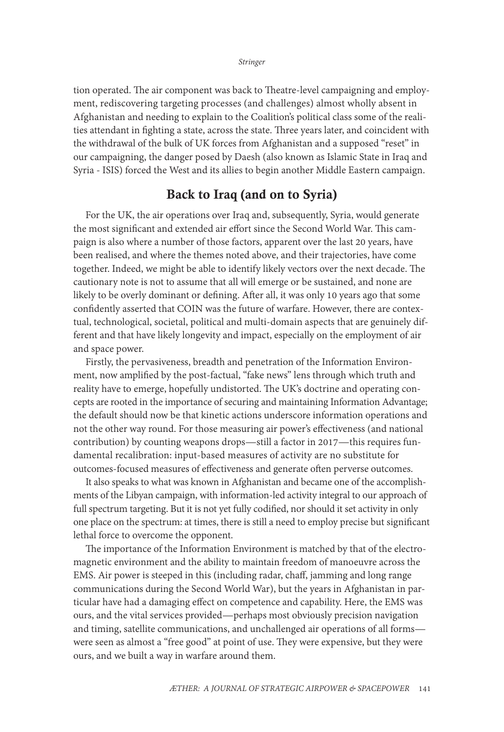tion operated. The air component was back to Theatre-level campaigning and employment, rediscovering targeting processes (and challenges) almost wholly absent in Afghanistan and needing to explain to the Coalition's political class some of the realities attendant in fighting a state, across the state. Three years later, and coincident with the withdrawal of the bulk of UK forces from Afghanistan and a supposed "reset" in our campaigning, the danger posed by Daesh (also known as Islamic State in Iraq and Syria - ISIS) forced the West and its allies to begin another Middle Eastern campaign.

### Back to Iraq (and on to Syria)

For the UK, the air operations over Iraq and, subsequently, Syria, would generate the most significant and extended air effort since the Second World War. This campaign is also where a number of those factors, apparent over the last 20 years, have been realised, and where the themes noted above, and their trajectories, have come together. Indeed, we might be able to identify likely vectors over the next decade. The cautionary note is not to assume that all will emerge or be sustained, and none are likely to be overly dominant or defining. After all, it was only 10 years ago that some confidently asserted that COIN was the future of warfare. However, there are contextual, technological, societal, political and multi-domain aspects that are genuinely different and that have likely longevity and impact, especially on the employment of air and space power.

Firstly, the pervasiveness, breadth and penetration of the Information Environment, now amplified by the post-factual, "fake news" lens through which truth and reality have to emerge, hopefully undistorted. The UK's doctrine and operating concepts are rooted in the importance of securing and maintaining Information Advantage; the default should now be that kinetic actions underscore information operations and not the other way round. For those measuring air power's effectiveness (and national contribution) by counting weapons drops—still a factor in 2017—this requires fundamental recalibration: input-based measures of activity are no substitute for outcomes-focused measures of effectiveness and generate often perverse outcomes.

It also speaks to what was known in Afghanistan and became one of the accomplishments of the Libyan campaign, with information-led activity integral to our approach of full spectrum targeting. But it is not yet fully codified, nor should it set activity in only one place on the spectrum: at times, there is still a need to employ precise but significant lethal force to overcome the opponent.

The importance of the Information Environment is matched by that of the electromagnetic environment and the ability to maintain freedom of manoeuvre across the EMS. Air power is steeped in this (including radar, chaff, jamming and long range communications during the Second World War), but the years in Afghanistan in particular have had a damaging effect on competence and capability. Here, the EMS was ours, and the vital services provided—perhaps most obviously precision navigation and timing, satellite communications, and unchallenged air operations of all forms were seen as almost a "free good" at point of use. They were expensive, but they were ours, and we built a way in warfare around them.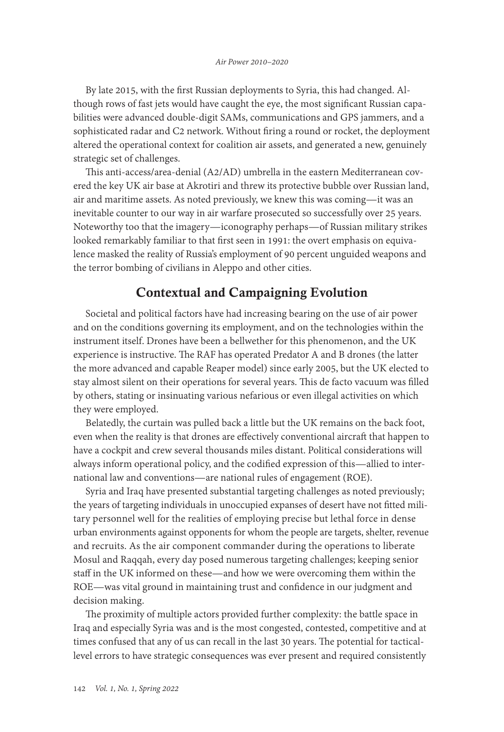By late 2015, with the first Russian deployments to Syria, this had changed. Although rows of fast jets would have caught the eye, the most significant Russian capabilities were advanced double-digit SAMs, communications and GPS jammers, and a sophisticated radar and C2 network. Without firing a round or rocket, the deployment altered the operational context for coalition air assets, and generated a new, genuinely strategic set of challenges.

This anti-access/area-denial (A2/AD) umbrella in the eastern Mediterranean covered the key UK air base at Akrotiri and threw its protective bubble over Russian land, air and maritime assets. As noted previously, we knew this was coming—it was an inevitable counter to our way in air warfare prosecuted so successfully over 25 years. Noteworthy too that the imagery—iconography perhaps—of Russian military strikes looked remarkably familiar to that first seen in 1991: the overt emphasis on equivalence masked the reality of Russia's employment of 90 percent unguided weapons and the terror bombing of civilians in Aleppo and other cities.

### Contextual and Campaigning Evolution

Societal and political factors have had increasing bearing on the use of air power and on the conditions governing its employment, and on the technologies within the instrument itself. Drones have been a bellwether for this phenomenon, and the UK experience is instructive. The RAF has operated Predator A and B drones (the latter the more advanced and capable Reaper model) since early 2005, but the UK elected to stay almost silent on their operations for several years. This de facto vacuum was filled by others, stating or insinuating various nefarious or even illegal activities on which they were employed.

Belatedly, the curtain was pulled back a little but the UK remains on the back foot, even when the reality is that drones are effectively conventional aircraft that happen to have a cockpit and crew several thousands miles distant. Political considerations will always inform operational policy, and the codified expression of this—allied to international law and conventions—are national rules of engagement (ROE).

Syria and Iraq have presented substantial targeting challenges as noted previously; the years of targeting individuals in unoccupied expanses of desert have not fitted military personnel well for the realities of employing precise but lethal force in dense urban environments against opponents for whom the people are targets, shelter, revenue and recruits. As the air component commander during the operations to liberate Mosul and Raqqah, every day posed numerous targeting challenges; keeping senior staff in the UK informed on these—and how we were overcoming them within the ROE—was vital ground in maintaining trust and confidence in our judgment and decision making.

The proximity of multiple actors provided further complexity: the battle space in Iraq and especially Syria was and is the most congested, contested, competitive and at times confused that any of us can recall in the last 30 years. The potential for tacticallevel errors to have strategic consequences was ever present and required consistently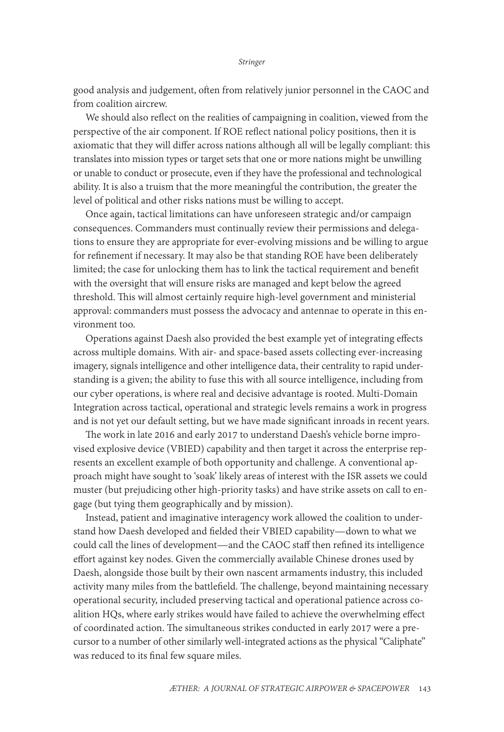good analysis and judgement, often from relatively junior personnel in the CAOC and from coalition aircrew.

We should also reflect on the realities of campaigning in coalition, viewed from the perspective of the air component. If ROE reflect national policy positions, then it is axiomatic that they will differ across nations although all will be legally compliant: this translates into mission types or target sets that one or more nations might be unwilling or unable to conduct or prosecute, even if they have the professional and technological ability. It is also a truism that the more meaningful the contribution, the greater the level of political and other risks nations must be willing to accept.

Once again, tactical limitations can have unforeseen strategic and/or campaign consequences. Commanders must continually review their permissions and delegations to ensure they are appropriate for ever-evolving missions and be willing to argue for refinement if necessary. It may also be that standing ROE have been deliberately limited; the case for unlocking them has to link the tactical requirement and benefit with the oversight that will ensure risks are managed and kept below the agreed threshold. This will almost certainly require high-level government and ministerial approval: commanders must possess the advocacy and antennae to operate in this environment too.

Operations against Daesh also provided the best example yet of integrating effects across multiple domains. With air- and space-based assets collecting ever-increasing imagery, signals intelligence and other intelligence data, their centrality to rapid understanding is a given; the ability to fuse this with all source intelligence, including from our cyber operations, is where real and decisive advantage is rooted. Multi-Domain Integration across tactical, operational and strategic levels remains a work in progress and is not yet our default setting, but we have made significant inroads in recent years.

The work in late 2016 and early 2017 to understand Daesh's vehicle borne improvised explosive device (VBIED) capability and then target it across the enterprise represents an excellent example of both opportunity and challenge. A conventional approach might have sought to 'soak' likely areas of interest with the ISR assets we could muster (but prejudicing other high-priority tasks) and have strike assets on call to engage (but tying them geographically and by mission).

Instead, patient and imaginative interagency work allowed the coalition to understand how Daesh developed and fielded their VBIED capability—down to what we could call the lines of development—and the CAOC staff then refined its intelligence effort against key nodes. Given the commercially available Chinese drones used by Daesh, alongside those built by their own nascent armaments industry, this included activity many miles from the battlefield. The challenge, beyond maintaining necessary operational security, included preserving tactical and operational patience across coalition HQs, where early strikes would have failed to achieve the overwhelming effect of coordinated action. The simultaneous strikes conducted in early 2017 were a precursor to a number of other similarly well-integrated actions as the physical "Caliphate was reduced to its final few square miles.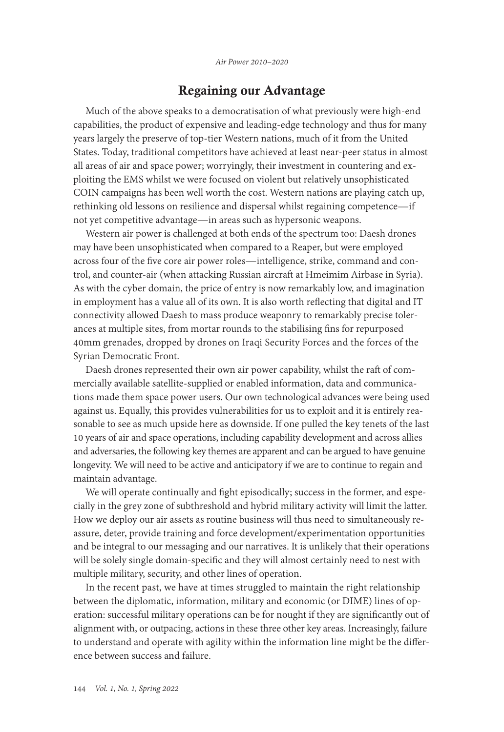## Regaining our Advantage

Much of the above speaks to a democratisation of what previously were high-end capabilities, the product of expensive and leading-edge technology and thus for many years largely the preserve of top-tier Western nations, much of it from the United States. Today, traditional competitors have achieved at least near-peer status in almost all areas of air and space power; worryingly, their investment in countering and exploiting the EMS whilst we were focused on violent but relatively unsophisticated COIN campaigns has been well worth the cost. Western nations are playing catch up, rethinking old lessons on resilience and dispersal whilst regaining competence—if not yet competitive advantage—in areas such as hypersonic weapons.

Western air power is challenged at both ends of the spectrum too: Daesh drones may have been unsophisticated when compared to a Reaper, but were employed across four of the five core air power roles—intelligence, strike, command and control, and counter-air (when attacking Russian aircraft at Hmeimim Airbase in Syria). As with the cyber domain, the price of entry is now remarkably low, and imagination in employment has a value all of its own. It is also worth reflecting that digital and IT connectivity allowed Daesh to mass produce weaponry to remarkably precise tolerances at multiple sites, from mortar rounds to the stabilising fins for repurposed 40mm grenades, dropped by drones on Iraqi Security Forces and the forces of the Syrian Democratic Front.

Daesh drones represented their own air power capability, whilst the raft of commercially available satellite-supplied or enabled information, data and communications made them space power users. Our own technological advances were being used against us. Equally, this provides vulnerabilities for us to exploit and it is entirely reasonable to see as much upside here as downside. If one pulled the key tenets of the last 10 years of air and space operations, including capability development and across allies and adversaries, the following key themes are apparent and can be argued to have genuine longevity. We will need to be active and anticipatory if we are to continue to regain and maintain advantage.

We will operate continually and fight episodically; success in the former, and especially in the grey zone of subthreshold and hybrid military activity will limit the latter. How we deploy our air assets as routine business will thus need to simultaneously reassure, deter, provide training and force development/experimentation opportunities and be integral to our messaging and our narratives. It is unlikely that their operations will be solely single domain-specific and they will almost certainly need to nest with multiple military, security, and other lines of operation.

In the recent past, we have at times struggled to maintain the right relationship between the diplomatic, information, military and economic (or DIME) lines of operation: successful military operations can be for nought if they are significantly out of alignment with, or outpacing, actions in these three other key areas. Increasingly, failure to understand and operate with agility within the information line might be the difference between success and failure.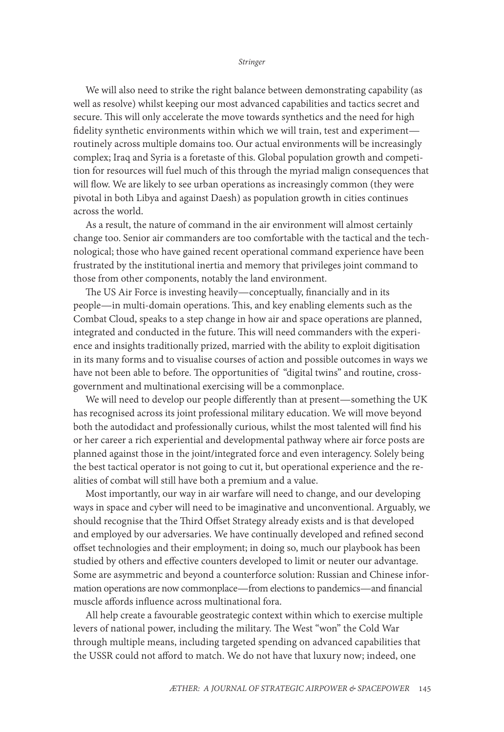We will also need to strike the right balance between demonstrating capability (as well as resolve) whilst keeping our most advanced capabilities and tactics secret and secure. This will only accelerate the move towards synthetics and the need for high fidelity synthetic environments within which we will train, test and experiment routinely across multiple domains too. Our actual environments will be increasingly complex; Iraq and Syria is a foretaste of this. Global population growth and competition for resources will fuel much of this through the myriad malign consequences that will flow. We are likely to see urban operations as increasingly common (they were pivotal in both Libya and against Daesh) as population growth in cities continues across the world.

As a result, the nature of command in the air environment will almost certainly change too. Senior air commanders are too comfortable with the tactical and the technological; those who have gained recent operational command experience have been frustrated by the institutional inertia and memory that privileges joint command to those from other components, notably the land environment.

The US Air Force is investing heavily—conceptually, financially and in its people—in multi-domain operations. This, and key enabling elements such as the Combat Cloud, speaks to a step change in how air and space operations are planned, integrated and conducted in the future. This will need commanders with the experience and insights traditionally prized, married with the ability to exploit digitisation in its many forms and to visualise courses of action and possible outcomes in ways we have not been able to before. The opportunities of "digital twins" and routine, crossgovernment and multinational exercising will be a commonplace.

We will need to develop our people differently than at present—something the UK has recognised across its joint professional military education. We will move beyond both the autodidact and professionally curious, whilst the most talented will find his or her career a rich experiential and developmental pathway where air force posts are planned against those in the joint/integrated force and even interagency. Solely being the best tactical operator is not going to cut it, but operational experience and the realities of combat will still have both a premium and a value.

Most importantly, our way in air warfare will need to change, and our developing ways in space and cyber will need to be imaginative and unconventional. Arguably, we should recognise that the Third Offset Strategy already exists and is that developed and employed by our adversaries. We have continually developed and refined second offset technologies and their employment; in doing so, much our playbook has been studied by others and effective counters developed to limit or neuter our advantage. Some are asymmetric and beyond a counterforce solution: Russian and Chinese information operations are now commonplace—from elections to pandemics—and financial muscle affords influence across multinational fora.

All help create a favourable geostrategic context within which to exercise multiple levers of national power, including the military. The West "won" the Cold War through multiple means, including targeted spending on advanced capabilities that the USSR could not afford to match. We do not have that luxury now; indeed, one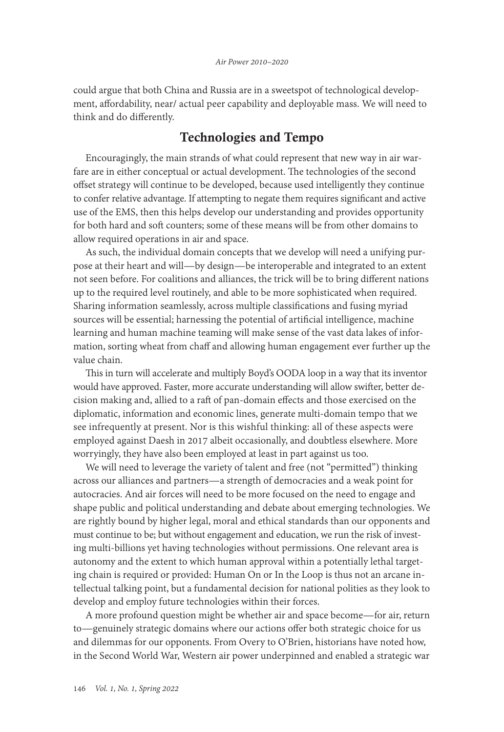could argue that both China and Russia are in a sweetspot of technological development, affordability, near/ actual peer capability and deployable mass. We will need to think and do differently.

# Technologies and Tempo

Encouragingly, the main strands of what could represent that new way in air warfare are in either conceptual or actual development. The technologies of the second offset strategy will continue to be developed, because used intelligently they continue to confer relative advantage. If attempting to negate them requires significant and active use of the EMS, then this helps develop our understanding and provides opportunity for both hard and soft counters; some of these means will be from other domains to allow required operations in air and space.

As such, the individual domain concepts that we develop will need a unifying purpose at their heart and will—by design—be interoperable and integrated to an extent not seen before. For coalitions and alliances, the trick will be to bring different nations up to the required level routinely, and able to be more sophisticated when required. Sharing information seamlessly, across multiple classifications and fusing myriad sources will be essential; harnessing the potential of artificial intelligence, machine learning and human machine teaming will make sense of the vast data lakes of information, sorting wheat from chaff and allowing human engagement ever further up the value chain.

This in turn will accelerate and multiply Boyd's OODA loop in a way that its inventor would have approved. Faster, more accurate understanding will allow swifter, better decision making and, allied to a raft of pan-domain effects and those exercised on the diplomatic, information and economic lines, generate multi-domain tempo that we see infrequently at present. Nor is this wishful thinking: all of these aspects were employed against Daesh in 2017 albeit occasionally, and doubtless elsewhere. More worryingly, they have also been employed at least in part against us too.

We will need to leverage the variety of talent and free (not "permitted") thinking across our alliances and partners—a strength of democracies and a weak point for autocracies. And air forces will need to be more focused on the need to engage and shape public and political understanding and debate about emerging technologies. We are rightly bound by higher legal, moral and ethical standards than our opponents and must continue to be; but without engagement and education, we run the risk of investing multi-billions yet having technologies without permissions. One relevant area is autonomy and the extent to which human approval within a potentially lethal targeting chain is required or provided: Human On or In the Loop is thus not an arcane intellectual talking point, but a fundamental decision for national polities as they look to develop and employ future technologies within their forces.

A more profound question might be whether air and space become—for air, return to—genuinely strategic domains where our actions offer both strategic choice for us and dilemmas for our opponents. From Overy to O'Brien, historians have noted how, in the Second World War, Western air power underpinned and enabled a strategic war